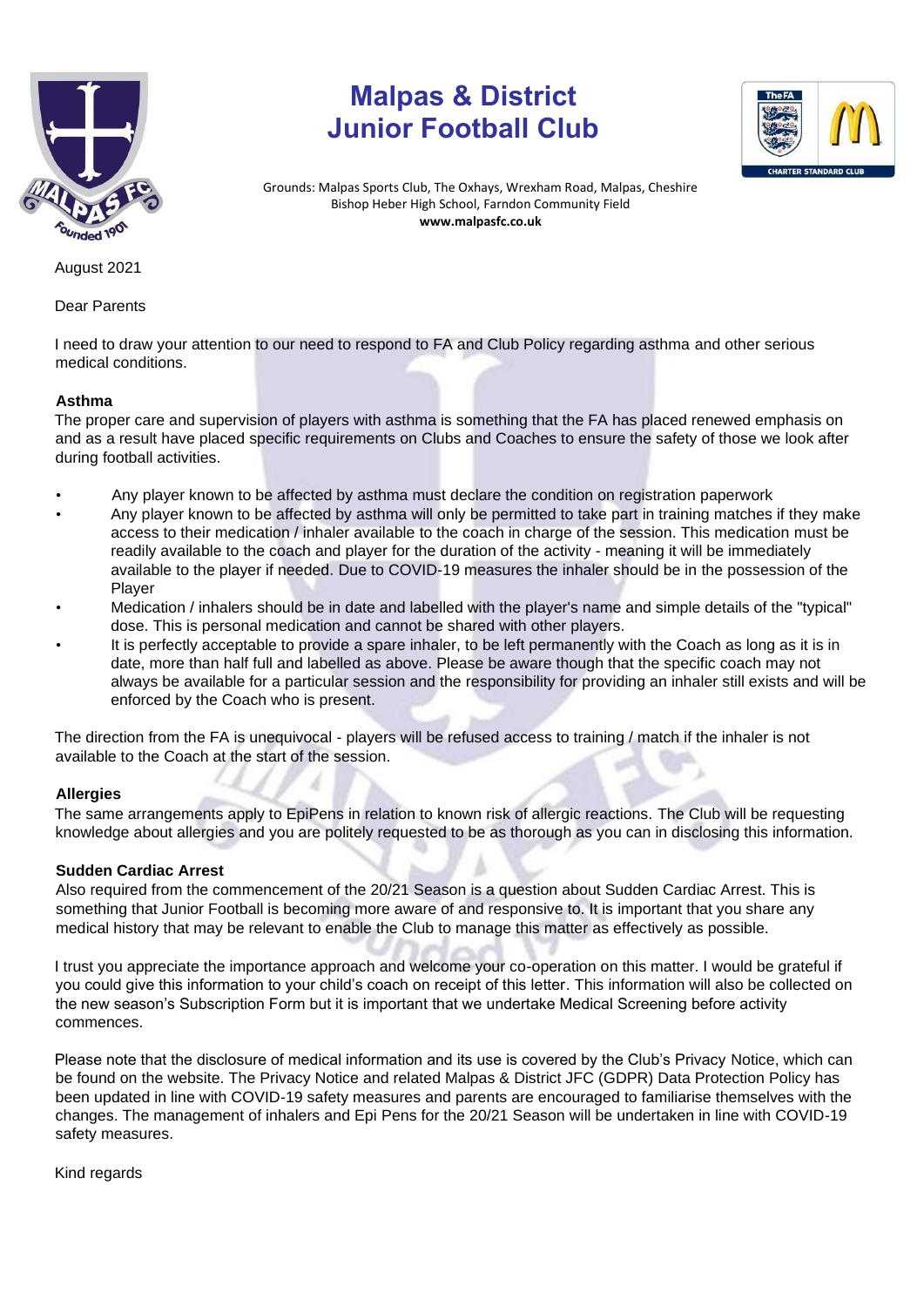

## **Malpas & District Junior Football Club**



Grounds: Malpas Sports Club, The Oxhays, Wrexham Road, Malpas, Cheshire Bishop Heber High School, Farndon Community Field **www.malpasfc.co.uk** 

August 2021

Dear Parents

I need to draw your attention to our need to respond to FA and Club Policy regarding asthma and other serious medical conditions.

## **Asthma**

The proper care and supervision of players with asthma is something that the FA has placed renewed emphasis on and as a result have placed specific requirements on Clubs and Coaches to ensure the safety of those we look after during football activities.

- Any player known to be affected by asthma must declare the condition on registration paperwork
- Any player known to be affected by asthma will only be permitted to take part in training matches if they make access to their medication / inhaler available to the coach in charge of the session. This medication must be readily available to the coach and player for the duration of the activity - meaning it will be immediately available to the player if needed. Due to COVID-19 measures the inhaler should be in the possession of the Player
- Medication / inhalers should be in date and labelled with the player's name and simple details of the "typical" dose. This is personal medication and cannot be shared with other players.
- It is perfectly acceptable to provide a spare inhaler, to be left permanently with the Coach as long as it is in date, more than half full and labelled as above. Please be aware though that the specific coach may not always be available for a particular session and the responsibility for providing an inhaler still exists and will be enforced by the Coach who is present.

The direction from the FA is unequivocal - players will be refused access to training / match if the inhaler is not available to the Coach at the start of the session.

## **Allergies**

The same arrangements apply to EpiPens in relation to known risk of allergic reactions. The Club will be requesting knowledge about allergies and you are politely requested to be as thorough as you can in disclosing this information.

## **Sudden Cardiac Arrest**

Also required from the commencement of the 20/21 Season is a question about Sudden Cardiac Arrest. This is something that Junior Football is becoming more aware of and responsive to. It is important that you share any medical history that may be relevant to enable the Club to manage this matter as effectively as possible.

I trust you appreciate the importance approach and welcome your co-operation on this matter. I would be grateful if you could give this information to your child's coach on receipt of this letter. This information will also be collected on the new season's Subscription Form but it is important that we undertake Medical Screening before activity commences.

Please note that the disclosure of medical information and its use is covered by the Club's Privacy Notice, which can be found on the website. The Privacy Notice and related Malpas & District JFC (GDPR) Data Protection Policy has been updated in line with COVID-19 safety measures and parents are encouraged to familiarise themselves with the changes. The management of inhalers and Epi Pens for the 20/21 Season will be undertaken in line with COVID-19 safety measures.

Kind regards